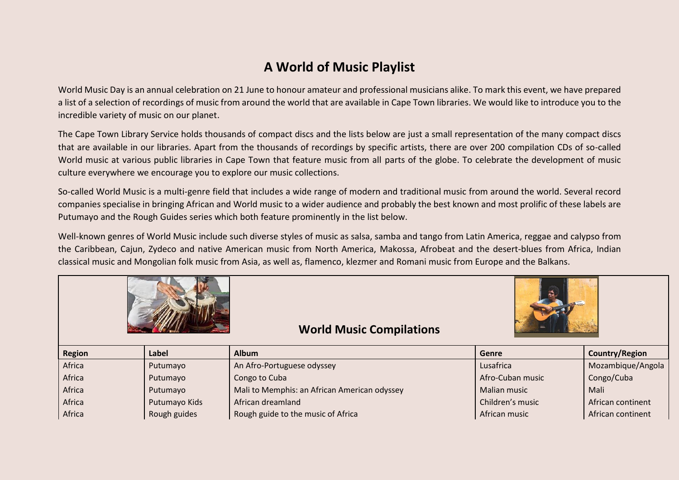## **A World of Music Playlist**

World Music Day is an annual celebration on 21 June to honour amateur and professional musicians alike. To mark this event, we have prepared a list of a selection of recordings of music from around the world that are available in Cape Town libraries. We would like to introduce you to the incredible variety of music on our planet.

The Cape Town Library Service holds thousands of compact discs and the lists below are just a small representation of the many compact discs that are available in our libraries. Apart from the thousands of recordings by specific artists, there are over 200 compilation CDs of so-called World music at various public libraries in Cape Town that feature music from all parts of the globe. To celebrate the development of music culture everywhere we encourage you to explore our music collections.

So-called World Music is a multi-genre field that includes a wide range of modern and traditional music from around the world. Several record companies specialise in bringing African and World music to a wider audience and probably the best known and most prolific of these labels are Putumayo and the Rough Guides series which both feature prominently in the list below.

Well-known genres of World Music include such diverse styles of music as salsa, samba and tango from Latin America, reggae and calypso from the Caribbean, Cajun, Zydeco and native American music from North America, Makossa, Afrobeat and the desert-blues from Africa, Indian classical music and Mongolian folk music from Asia, as well as, flamenco, klezmer and Romani music from Europe and the Balkans.

| <b>World Music Compilations</b> |               |                                              |                  |                       |  |  |  |
|---------------------------------|---------------|----------------------------------------------|------------------|-----------------------|--|--|--|
| Region                          | Label         | <b>Album</b>                                 | Genre            | <b>Country/Region</b> |  |  |  |
| Africa                          | Putumayo      | An Afro-Portuguese odyssey                   | Lusafrica        | Mozambique/Angola     |  |  |  |
| Africa                          | Putumayo      | Congo to Cuba                                | Afro-Cuban music | Congo/Cuba            |  |  |  |
| Africa                          | Putumayo      | Mali to Memphis: an African American odyssey | Malian music     | Mali                  |  |  |  |
| Africa                          | Putumayo Kids | African dreamland                            | Children's music | African continent     |  |  |  |
| Africa                          | Rough guides  | Rough guide to the music of Africa           | African music    | African continent     |  |  |  |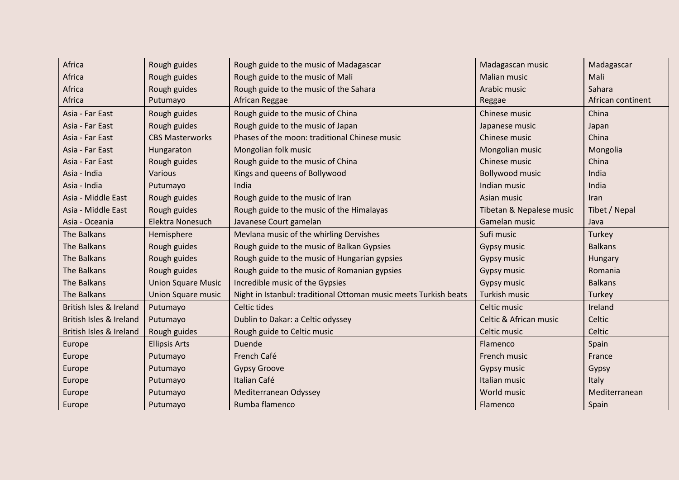| Africa                  | Rough guides              | Rough guide to the music of Madagascar                           | Madagascan music         | Madagascar        |
|-------------------------|---------------------------|------------------------------------------------------------------|--------------------------|-------------------|
| Africa                  | Rough guides              | Rough guide to the music of Mali                                 | <b>Malian music</b>      | Mali              |
| Africa                  | Rough guides              | Rough guide to the music of the Sahara                           | Arabic music             | Sahara            |
| Africa                  | Putumayo                  | African Reggae                                                   | Reggae                   | African continent |
| Asia - Far East         | Rough guides              | Rough guide to the music of China                                | Chinese music            | China             |
| Asia - Far East         | Rough guides              | Rough guide to the music of Japan                                | Japanese music           | Japan             |
| Asia - Far East         | <b>CBS Masterworks</b>    | Phases of the moon: traditional Chinese music                    | Chinese music            | China             |
| Asia - Far East         | Hungaraton                | Mongolian folk music                                             | Mongolian music          | Mongolia          |
| Asia - Far East         | Rough guides              | Rough guide to the music of China                                | Chinese music            | China             |
| Asia - India            | Various                   | Kings and queens of Bollywood                                    | Bollywood music          | India             |
| Asia - India            | Putumayo                  | India                                                            | Indian music             | India             |
| Asia - Middle East      | Rough guides              | Rough guide to the music of Iran                                 | Asian music              | Iran              |
| Asia - Middle East      | Rough guides              | Rough guide to the music of the Himalayas                        | Tibetan & Nepalese music | Tibet / Nepal     |
| Asia - Oceania          | Elektra Nonesuch          | Javanese Court gamelan                                           | Gamelan music            | Java              |
| The Balkans             | Hemisphere                | Mevlana music of the whirling Dervishes                          | Sufi music               | Turkey            |
| The Balkans             | Rough guides              | Rough guide to the music of Balkan Gypsies                       | <b>Gypsy music</b>       | <b>Balkans</b>    |
| The Balkans             | Rough guides              | Rough guide to the music of Hungarian gypsies                    | Gypsy music              | Hungary           |
| The Balkans             | Rough guides              | Rough guide to the music of Romanian gypsies                     | Gypsy music              | Romania           |
| The Balkans             | <b>Union Square Music</b> | Incredible music of the Gypsies                                  | Gypsy music              | <b>Balkans</b>    |
| The Balkans             | <b>Union Square music</b> | Night in Istanbul: traditional Ottoman music meets Turkish beats | <b>Turkish music</b>     | Turkey            |
| British Isles & Ireland | Putumayo                  | Celtic tides                                                     | Celtic music             | Ireland           |
| British Isles & Ireland | Putumayo                  | Dublin to Dakar: a Celtic odyssey                                | Celtic & African music   | Celtic            |
| British Isles & Ireland | Rough guides              | Rough guide to Celtic music                                      | Celtic music             | Celtic            |
| Europe                  | <b>Ellipsis Arts</b>      | Duende                                                           | Flamenco                 | Spain             |
| Europe                  | Putumayo                  | French Café                                                      | French music             | France            |
| Europe                  | Putumayo                  | <b>Gypsy Groove</b>                                              | Gypsy music              | Gypsy             |
| Europe                  | Putumayo                  | Italian Café                                                     | Italian music            | Italy             |
| Europe                  | Putumayo                  | Mediterranean Odyssey                                            | World music              | Mediterranean     |
| Europe                  | Putumayo                  | Rumba flamenco                                                   | Flamenco                 | Spain             |